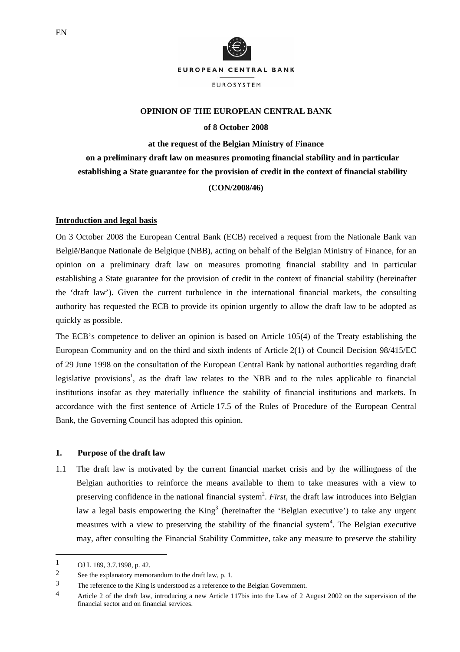

# **OPINION OF THE EUROPEAN CENTRAL BANK**

#### **of 8 October 2008**

# **at the request of the Belgian Ministry of Finance on a preliminary draft law on measures promoting financial stability and in particular establishing a State guarantee for the provision of credit in the context of financial stability (CON/2008/46)**

### **Introduction and legal basis**

On 3 October 2008 the European Central Bank (ECB) received a request from the Nationale Bank van België/Banque Nationale de Belgique (NBB), acting on behalf of the Belgian Ministry of Finance, for an opinion on a preliminary draft law on measures promoting financial stability and in particular establishing a State guarantee for the provision of credit in the context of financial stability (hereinafter the 'draft law'). Given the current turbulence in the international financial markets, the consulting authority has requested the ECB to provide its opinion urgently to allow the draft law to be adopted as quickly as possible.

The ECB's competence to deliver an opinion is based on Article 105(4) of the Treaty establishing the European Community and on the third and sixth indents of Article 2(1) of Council Decision 98/415/EC of 29 June 1998 on the consultation of the European Central Bank by national authorities regarding draft legislative provisions<sup>1</sup>, as the draft law relates to the NBB and to the rules applicable to financial institutions insofar as they materially influence the stability of financial institutions and markets. In accordance with the first sentence of Article 17.5 of the Rules of Procedure of the European Central Bank, the Governing Council has adopted this opinion.

## **1.****Purpose of the draft law**

1.1 The draft law is motivated by the current financial market crisis and by the willingness of the Belgian authorities to reinforce the means available to them to take measures with a view to preserving confidence in the national financial system<sup>2</sup>. *First*, the draft law introduces into Belgian law a legal basis empowering the  $King<sup>3</sup>$  (hereinafter the 'Belgian executive') to take any urgent measures with a view to preserving the stability of the financial system<sup>4</sup>. The Belgian executive may, after consulting the Financial Stability Committee, take any measure to preserve the stability

<sup>1</sup> OJ L 189, 3.7.1998, p. 42.

<sup>2</sup> See the explanatory memorandum to the draft law, p. 1.

<sup>3</sup> The reference to the King is understood as a reference to the Belgian Government.

<sup>4</sup> Article 2 of the draft law, introducing a new Article 117bis into the Law of 2 August 2002 on the supervision of the financial sector and on financial services.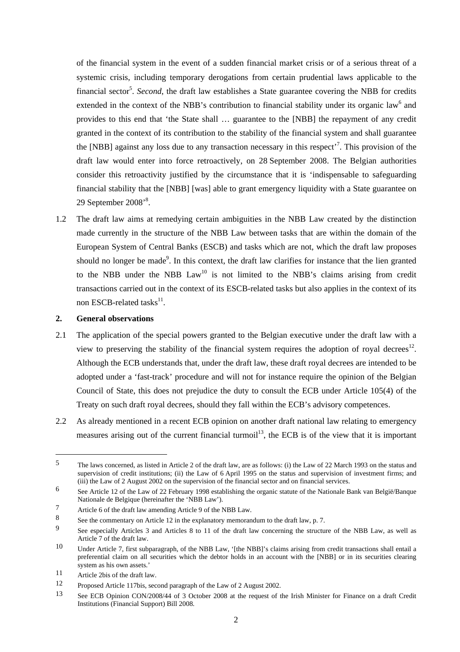of the financial system in the event of a sudden financial market crisis or of a serious threat of a systemic crisis, including temporary derogations from certain prudential laws applicable to the financial sector<sup>5</sup>. *Second*, the draft law establishes a State guarantee covering the NBB for credits extended in the context of the NBB's contribution to financial stability under its organic law<sup>6</sup> and provides to this end that 'the State shall … guarantee to the [NBB] the repayment of any credit granted in the context of its contribution to the stability of the financial system and shall guarantee the [NBB] against any loss due to any transaction necessary in this respect<sup> $7$ </sup>. This provision of the draft law would enter into force retroactively, on 28 September 2008. The Belgian authorities consider this retroactivity justified by the circumstance that it is 'indispensable to safeguarding financial stability that the [NBB] [was] able to grant emergency liquidity with a State guarantee on 29 September 2008'<sup>8</sup>.

1.2 The draft law aims at remedying certain ambiguities in the NBB Law created by the distinction made currently in the structure of the NBB Law between tasks that are within the domain of the European System of Central Banks (ESCB) and tasks which are not, which the draft law proposes should no longer be made<sup>9</sup>. In this context, the draft law clarifies for instance that the lien granted to the NBB under the NBB  $Law<sup>10</sup>$  is not limited to the NBB's claims arising from credit transactions carried out in the context of its ESCB-related tasks but also applies in the context of its non ESCB-related tasks $^{11}$ .

# **2. General observations**

- 2.1 The application of the special powers granted to the Belgian executive under the draft law with a view to preserving the stability of the financial system requires the adoption of royal decrees<sup>12</sup>. Although the ECB understands that, under the draft law, these draft royal decrees are intended to be adopted under a 'fast-track' procedure and will not for instance require the opinion of the Belgian Council of State, this does not prejudice the duty to consult the ECB under Article 105(4) of the Treaty on such draft royal decrees, should they fall within the ECB's advisory competences.
- 2.2 As already mentioned in a recent ECB opinion on another draft national law relating to emergency measures arising out of the current financial turmoil<sup>13</sup>, the ECB is of the view that it is important

<sup>5</sup> The laws concerned, as listed in Article 2 of the draft law, are as follows: (i) the Law of 22 March 1993 on the status and supervision of credit institutions; (ii) the Law of 6 April 1995 on the status and supervision of investment firms; and (iii) the Law of 2 August 2002 on the supervision of the financial sector and on financial services.

<sup>6</sup> See Article 12 of the Law of 22 February 1998 establishing the organic statute of the Nationale Bank van België/Banque Nationale de Belgique (hereinafter the 'NBB Law').

<sup>7</sup> Article 6 of the draft law amending Article 9 of the NBB Law.

<sup>8</sup> See the commentary on Article 12 in the explanatory memorandum to the draft law, p. 7.

<sup>9</sup> See especially Articles 3 and Articles 8 to 11 of the draft law concerning the structure of the NBB Law, as well as Article 7 of the draft law.

<sup>10</sup> Under Article 7, first subparagraph, of the NBB Law, '[the NBB]'s claims arising from credit transactions shall entail a preferential claim on all securities which the debtor holds in an account with the [NBB] or in its securities clearing system as his own assets.'

<sup>11</sup> Article 2bis of the draft law.

<sup>12</sup> Proposed Article 117bis, second paragraph of the Law of 2 August 2002.

<sup>13</sup> See ECB Opinion CON/2008/44 of 3 October 2008 at the request of the Irish Minister for Finance on a draft Credit Institutions (Financial Support) Bill 2008.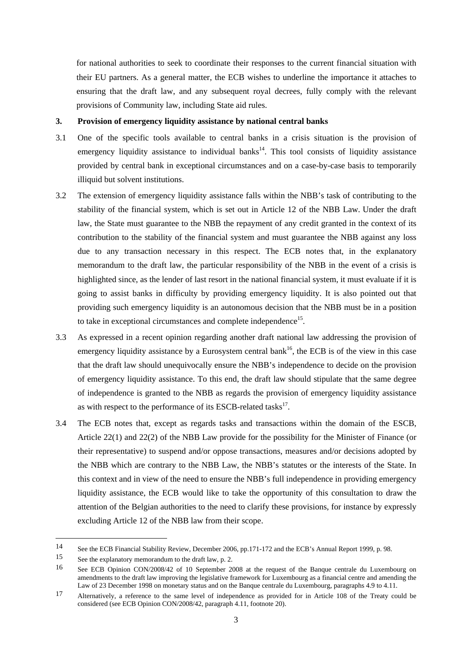for national authorities to seek to coordinate their responses to the current financial situation with their EU partners. As a general matter, the ECB wishes to underline the importance it attaches to ensuring that the draft law, and any subsequent royal decrees, fully comply with the relevant provisions of Community law, including State aid rules.

# **3. Provision of emergency liquidity assistance by national central banks**

- 3.1 One of the specific tools available to central banks in a crisis situation is the provision of emergency liquidity assistance to individual banks<sup>14</sup>. This tool consists of liquidity assistance provided by central bank in exceptional circumstances and on a case-by-case basis to temporarily illiquid but solvent institutions.
- 3.2 The extension of emergency liquidity assistance falls within the NBB's task of contributing to the stability of the financial system, which is set out in Article 12 of the NBB Law. Under the draft law, the State must guarantee to the NBB the repayment of any credit granted in the context of its contribution to the stability of the financial system and must guarantee the NBB against any loss due to any transaction necessary in this respect. The ECB notes that, in the explanatory memorandum to the draft law, the particular responsibility of the NBB in the event of a crisis is highlighted since, as the lender of last resort in the national financial system, it must evaluate if it is going to assist banks in difficulty by providing emergency liquidity. It is also pointed out that providing such emergency liquidity is an autonomous decision that the NBB must be in a position to take in exceptional circumstances and complete independence<sup>15</sup>.
- 3.3 As expressed in a recent opinion regarding another draft national law addressing the provision of emergency liquidity assistance by a Eurosystem central bank<sup>16</sup>, the ECB is of the view in this case that the draft law should unequivocally ensure the NBB's independence to decide on the provision of emergency liquidity assistance. To this end, the draft law should stipulate that the same degree of independence is granted to the NBB as regards the provision of emergency liquidity assistance as with respect to the performance of its ESCB-related tasks<sup>17</sup>.
- 3.4 The ECB notes that, except as regards tasks and transactions within the domain of the ESCB, Article 22(1) and 22(2) of the NBB Law provide for the possibility for the Minister of Finance (or their representative) to suspend and/or oppose transactions, measures and/or decisions adopted by the NBB which are contrary to the NBB Law, the NBB's statutes or the interests of the State. In this context and in view of the need to ensure the NBB's full independence in providing emergency liquidity assistance, the ECB would like to take the opportunity of this consultation to draw the attention of the Belgian authorities to the need to clarify these provisions, for instance by expressly excluding Article 12 of the NBB law from their scope.

<sup>14</sup> See the ECB Financial Stability Review, December 2006, pp.171-172 and the ECB's Annual Report 1999, p. 98.

<sup>15</sup> See the explanatory memorandum to the draft law, p. 2.

<sup>16</sup> See ECB Opinion CON/2008/42 of 10 September 2008 at the request of the Banque centrale du Luxembourg on amendments to the draft law improving the legislative framework for Luxembourg as a financial centre and amending the Law of 23 December 1998 on monetary status and on the Banque centrale du Luxembourg, paragraphs 4.9 to 4.11.

<sup>17</sup> Alternatively, a reference to the same level of independence as provided for in Article 108 of the Treaty could be considered (see ECB Opinion CON/2008/42, paragraph 4.11, footnote 20).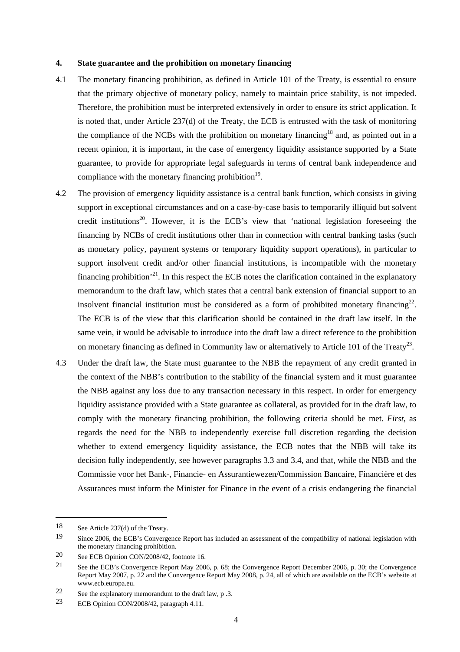#### **4. State guarantee and the prohibition on monetary financing**

- 4.1 The monetary financing prohibition, as defined in Article 101 of the Treaty, is essential to ensure that the primary objective of monetary policy, namely to maintain price stability, is not impeded. Therefore, the prohibition must be interpreted extensively in order to ensure its strict application. It is noted that, under Article 237(d) of the Treaty, the ECB is entrusted with the task of monitoring the compliance of the NCBs with the prohibition on monetary financing<sup>18</sup> and, as pointed out in a recent opinion, it is important, in the case of emergency liquidity assistance supported by a State guarantee, to provide for appropriate legal safeguards in terms of central bank independence and compliance with the monetary financing prohibition<sup>19</sup>.
- 4.2 The provision of emergency liquidity assistance is a central bank function, which consists in giving support in exceptional circumstances and on a case-by-case basis to temporarily illiquid but solvent credit institutions<sup>20</sup>. However, it is the ECB's view that 'national legislation foreseeing the financing by NCBs of credit institutions other than in connection with central banking tasks (such as monetary policy, payment systems or temporary liquidity support operations), in particular to support insolvent credit and/or other financial institutions, is incompatible with the monetary financing prohibition'21. In this respect the ECB notes the clarification contained in the explanatory memorandum to the draft law, which states that a central bank extension of financial support to an insolvent financial institution must be considered as a form of prohibited monetary financing<sup>22</sup>. The ECB is of the view that this clarification should be contained in the draft law itself. In the same vein, it would be advisable to introduce into the draft law a direct reference to the prohibition on monetary financing as defined in Community law or alternatively to Article 101 of the Treaty<sup>23</sup>.
- 4.3 Under the draft law, the State must guarantee to the NBB the repayment of any credit granted in the context of the NBB's contribution to the stability of the financial system and it must guarantee the NBB against any loss due to any transaction necessary in this respect. In order for emergency liquidity assistance provided with a State guarantee as collateral, as provided for in the draft law, to comply with the monetary financing prohibition, the following criteria should be met. *First*, as regards the need for the NBB to independently exercise full discretion regarding the decision whether to extend emergency liquidity assistance, the ECB notes that the NBB will take its decision fully independently, see however paragraphs 3.3 and 3.4, and that, while the NBB and the Commissie voor het Bank-, Financie- en Assurantiewezen/Commission Bancaire, Financière et des Assurances must inform the Minister for Finance in the event of a crisis endangering the financial

<sup>18</sup> See Article 237(d) of the Treaty.

<sup>19</sup> Since 2006, the ECB's Convergence Report has included an assessment of the compatibility of national legislation with the monetary financing prohibition.

<sup>20</sup> See ECB Opinion CON/2008/42, footnote 16.

<sup>21</sup> See the ECB's Convergence Report May 2006, p. 68; the Convergence Report December 2006, p. 30; the Convergence Report May 2007, p. 22 and the Convergence Report May 2008, p. 24, all of which are available on the ECB's website at www.ecb.europa.eu.

<sup>22</sup> See the explanatory memorandum to the draft law, p .3.

<sup>23</sup> ECB Opinion CON/2008/42, paragraph 4.11.